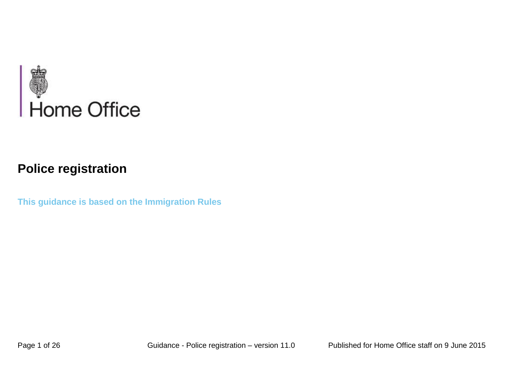

# **Police registration**

**This guidance is based on the Immigration Rules**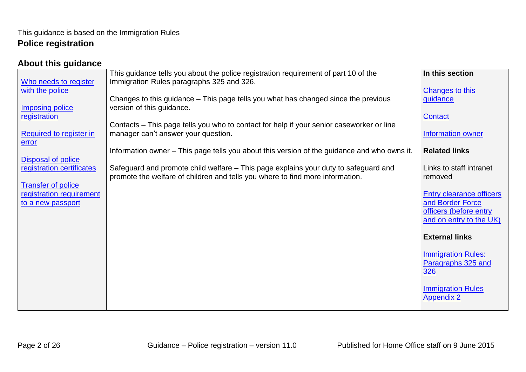#### <span id="page-1-0"></span>**About this guidance**

|                           | This guidance tells you about the police registration requirement of part 10 of the                                                                                  | In this section                 |
|---------------------------|----------------------------------------------------------------------------------------------------------------------------------------------------------------------|---------------------------------|
| Who needs to register     | Immigration Rules paragraphs 325 and 326.                                                                                                                            |                                 |
| with the police           |                                                                                                                                                                      | <b>Changes to this</b>          |
| <b>Imposing police</b>    | Changes to this guidance – This page tells you what has changed since the previous<br>version of this guidance.                                                      | guidance                        |
| registration              |                                                                                                                                                                      | Contact                         |
|                           | Contacts – This page tells you who to contact for help if your senior caseworker or line                                                                             |                                 |
| Required to register in   | manager can't answer your question.                                                                                                                                  | Information owner               |
| error                     |                                                                                                                                                                      |                                 |
|                           | Information owner – This page tells you about this version of the guidance and who owns it.                                                                          | <b>Related links</b>            |
| Disposal of police        |                                                                                                                                                                      | Links to staff intranet         |
| registration certificates | Safeguard and promote child welfare – This page explains your duty to safeguard and<br>promote the welfare of children and tells you where to find more information. | removed                         |
| <b>Transfer of police</b> |                                                                                                                                                                      |                                 |
| registration requirement  |                                                                                                                                                                      | <b>Entry clearance officers</b> |
| to a new passport         |                                                                                                                                                                      | and Border Force                |
|                           |                                                                                                                                                                      | officers (before entry          |
|                           |                                                                                                                                                                      | and on entry to the UK)         |
|                           |                                                                                                                                                                      |                                 |
|                           |                                                                                                                                                                      | <b>External links</b>           |
|                           |                                                                                                                                                                      | <b>Immigration Rules:</b>       |
|                           |                                                                                                                                                                      | Paragraphs 325 and              |
|                           |                                                                                                                                                                      | <u>326</u>                      |
|                           |                                                                                                                                                                      |                                 |
|                           |                                                                                                                                                                      | <b>Immigration Rules</b>        |
|                           |                                                                                                                                                                      | <b>Appendix 2</b>               |
|                           |                                                                                                                                                                      |                                 |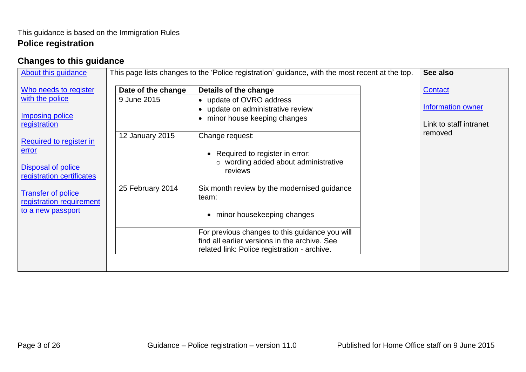# <span id="page-2-0"></span>**Changes to this guidance**

| Who needs to register<br>Date of the change<br>Details of the change<br>Contact<br>with the police<br>9 June 2015<br>• update of OVRO address<br>Information owner<br>• update on administrative review<br><b>Imposing police</b><br>minor house keeping changes<br>$\bullet$<br>Link to staff intranet<br>registration<br>removed<br>12 January 2015<br>Change request:<br>Required to register in<br>error                                                      | About this guidance | This page lists changes to the 'Police registration' guidance, with the most recent at the top. | See also |
|-------------------------------------------------------------------------------------------------------------------------------------------------------------------------------------------------------------------------------------------------------------------------------------------------------------------------------------------------------------------------------------------------------------------------------------------------------------------|---------------------|-------------------------------------------------------------------------------------------------|----------|
| o wording added about administrative<br><b>Disposal of police</b><br>reviews<br>registration certificates<br>25 February 2014<br>Six month review by the modernised guidance<br><b>Transfer of police</b><br>team:<br>registration requirement<br>to a new passport<br>minor housekeeping changes<br>$\bullet$<br>For previous changes to this guidance you will<br>find all earlier versions in the archive. See<br>related link: Police registration - archive. |                     | Required to register in error:                                                                  |          |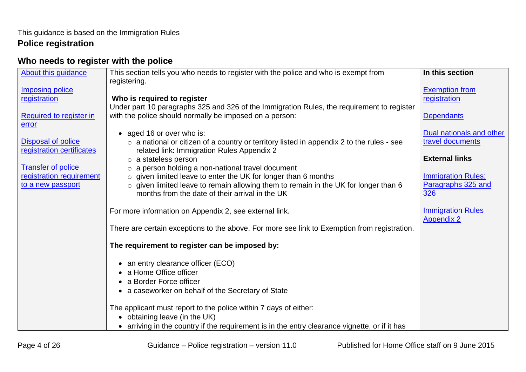# <span id="page-3-0"></span>**Who needs to register with the police**

| About this guidance                    | This section tells you who needs to register with the police and who is exempt from             | In this section                               |
|----------------------------------------|-------------------------------------------------------------------------------------------------|-----------------------------------------------|
|                                        | registering.                                                                                    |                                               |
| <b>Imposing police</b><br>registration | Who is required to register                                                                     | <b>Exemption from</b><br>registration         |
|                                        | Under part 10 paragraphs 325 and 326 of the Immigration Rules, the requirement to register      |                                               |
| Required to register in                | with the police should normally be imposed on a person:                                         | <b>Dependants</b>                             |
| error                                  |                                                                                                 |                                               |
|                                        | aged 16 or over who is:<br>$\bullet$                                                            | Dual nationals and other                      |
| Disposal of police                     | $\circ$ a national or citizen of a country or territory listed in appendix 2 to the rules - see | travel documents                              |
| registration certificates              | related link: Immigration Rules Appendix 2                                                      | <b>External links</b>                         |
| <b>Transfer of police</b>              | $\circ$ a stateless person<br>o a person holding a non-national travel document                 |                                               |
| registration requirement               | $\circ$ given limited leave to enter the UK for longer than 6 months                            | <b>Immigration Rules:</b>                     |
| to a new passport                      | o given limited leave to remain allowing them to remain in the UK for longer than 6             | Paragraphs 325 and                            |
|                                        | months from the date of their arrival in the UK                                                 | 326                                           |
|                                        |                                                                                                 |                                               |
|                                        | For more information on Appendix 2, see external link.                                          | <b>Immigration Rules</b><br><b>Appendix 2</b> |
|                                        | There are certain exceptions to the above. For more see link to Exemption from registration.    |                                               |
|                                        |                                                                                                 |                                               |
|                                        | The requirement to register can be imposed by:                                                  |                                               |
|                                        |                                                                                                 |                                               |
|                                        | • an entry clearance officer (ECO)                                                              |                                               |
|                                        | a Home Office officer                                                                           |                                               |
|                                        | • a Border Force officer                                                                        |                                               |
|                                        | • a caseworker on behalf of the Secretary of State                                              |                                               |
|                                        | The applicant must report to the police within 7 days of either:                                |                                               |
|                                        | • obtaining leave (in the UK)                                                                   |                                               |
|                                        | • arriving in the country if the requirement is in the entry clearance vignette, or if it has   |                                               |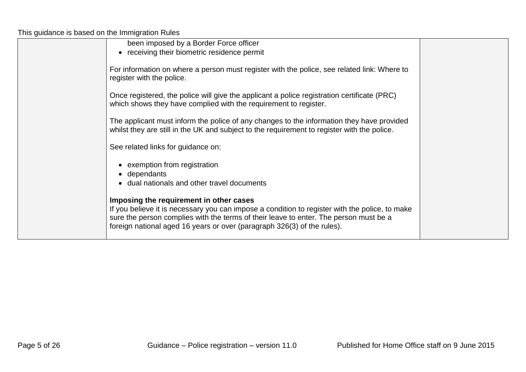This guidance is based on the Immigration Rules

| been imposed by a Border Force officer                                                                                                                                                                                                                                                                        |  |
|---------------------------------------------------------------------------------------------------------------------------------------------------------------------------------------------------------------------------------------------------------------------------------------------------------------|--|
| • receiving their biometric residence permit                                                                                                                                                                                                                                                                  |  |
| For information on where a person must register with the police, see related link: Where to<br>register with the police.                                                                                                                                                                                      |  |
| Once registered, the police will give the applicant a police registration certificate (PRC)<br>which shows they have complied with the requirement to register.                                                                                                                                               |  |
| The applicant must inform the police of any changes to the information they have provided<br>whilst they are still in the UK and subject to the requirement to register with the police.                                                                                                                      |  |
| See related links for guidance on:                                                                                                                                                                                                                                                                            |  |
| • exemption from registration                                                                                                                                                                                                                                                                                 |  |
| • dependants                                                                                                                                                                                                                                                                                                  |  |
| • dual nationals and other travel documents                                                                                                                                                                                                                                                                   |  |
| Imposing the requirement in other cases<br>If you believe it is necessary you can impose a condition to register with the police, to make<br>sure the person complies with the terms of their leave to enter. The person must be a<br>foreign national aged 16 years or over (paragraph 326(3) of the rules). |  |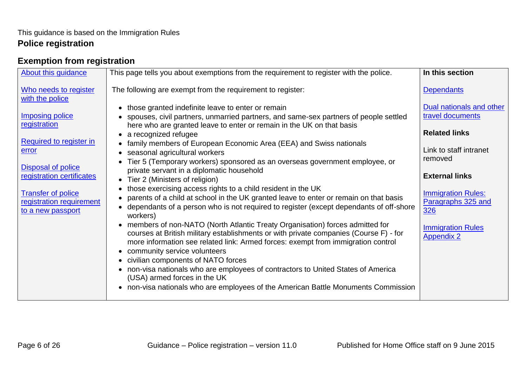#### <span id="page-5-0"></span>**Exemption from registration**

| About this guidance                                    | This page tells you about exemptions from the requirement to register with the police.                                                                                                                                                                                                    | In this section                                    |
|--------------------------------------------------------|-------------------------------------------------------------------------------------------------------------------------------------------------------------------------------------------------------------------------------------------------------------------------------------------|----------------------------------------------------|
| Who needs to register<br>with the police               | The following are exempt from the requirement to register:                                                                                                                                                                                                                                | <b>Dependants</b>                                  |
| <b>Imposing police</b><br>registration                 | • those granted indefinite leave to enter or remain<br>spouses, civil partners, unmarried partners, and same-sex partners of people settled<br>$\bullet$                                                                                                                                  | Dual nationals and other<br>travel documents       |
| Required to register in                                | here who are granted leave to enter or remain in the UK on that basis<br>a recognized refugee<br>$\bullet$<br>family members of European Economic Area (EEA) and Swiss nationals                                                                                                          | <b>Related links</b>                               |
| error<br><b>Disposal of police</b>                     | seasonal agricultural workers<br>$\bullet$<br>Tier 5 (Temporary workers) sponsored as an overseas government employee, or<br>private servant in a diplomatic household                                                                                                                    | Link to staff intranet<br>removed                  |
| registration certificates<br><b>Transfer of police</b> | Tier 2 (Ministers of religion)<br>$\bullet$<br>those exercising access rights to a child resident in the UK                                                                                                                                                                               | <b>External links</b><br><b>Immigration Rules:</b> |
| registration requirement<br>to a new passport          | parents of a child at school in the UK granted leave to enter or remain on that basis<br>dependants of a person who is not required to register (except dependants of off-shore<br>workers)                                                                                               | Paragraphs 325 and<br>326                          |
|                                                        | members of non-NATO (North Atlantic Treaty Organisation) forces admitted for<br>courses at British military establishments or with private companies (Course F) - for<br>more information see related link: Armed forces: exempt from immigration control<br>community service volunteers | <b>Immigration Rules</b><br><b>Appendix 2</b>      |
|                                                        | civilian components of NATO forces<br>$\bullet$<br>non-visa nationals who are employees of contractors to United States of America<br>(USA) armed forces in the UK                                                                                                                        |                                                    |
|                                                        | non-visa nationals who are employees of the American Battle Monuments Commission<br>$\bullet$                                                                                                                                                                                             |                                                    |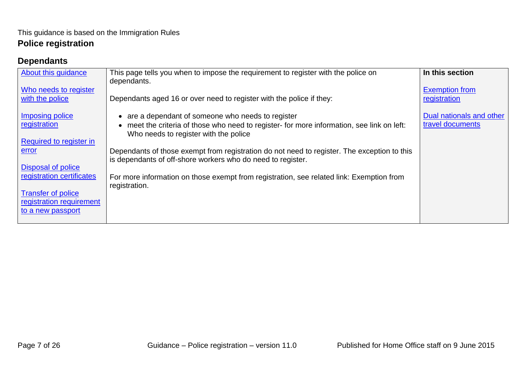# <span id="page-6-0"></span>**Dependants**

| About this guidance                      | This page tells you when to impose the requirement to register with the police on<br>dependants.                                                           | In this section                       |
|------------------------------------------|------------------------------------------------------------------------------------------------------------------------------------------------------------|---------------------------------------|
| Who needs to register<br>with the police | Dependants aged 16 or over need to register with the police if they:                                                                                       | <b>Exemption from</b><br>registration |
|                                          |                                                                                                                                                            |                                       |
| Imposing police                          | are a dependant of someone who needs to register<br>$\bullet$                                                                                              | Dual nationals and other              |
| registration                             | meet the criteria of those who need to register- for more information, see link on left:<br>Who needs to register with the police                          | travel documents                      |
| Required to register in                  |                                                                                                                                                            |                                       |
| error                                    | Dependants of those exempt from registration do not need to register. The exception to this<br>is dependants of off-shore workers who do need to register. |                                       |
| <b>Disposal of police</b>                |                                                                                                                                                            |                                       |
| registration certificates                | For more information on those exempt from registration, see related link: Exemption from<br>registration.                                                  |                                       |
| <b>Transfer of police</b>                |                                                                                                                                                            |                                       |
| registration requirement                 |                                                                                                                                                            |                                       |
| to a new passport                        |                                                                                                                                                            |                                       |
|                                          |                                                                                                                                                            |                                       |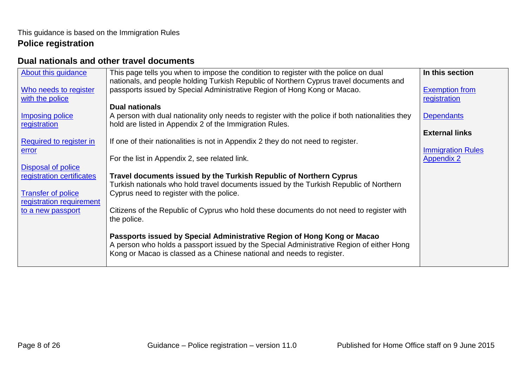### <span id="page-7-0"></span>**Dual nationals and other travel documents**

| <b>About this guidance</b> | This page tells you when to impose the condition to register with the police on dual             | In this section          |
|----------------------------|--------------------------------------------------------------------------------------------------|--------------------------|
|                            | nationals, and people holding Turkish Republic of Northern Cyprus travel documents and           |                          |
| Who needs to register      | passports issued by Special Administrative Region of Hong Kong or Macao.                         | <b>Exemption from</b>    |
| with the police            |                                                                                                  | registration             |
|                            | <b>Dual nationals</b>                                                                            |                          |
| <b>Imposing police</b>     | A person with dual nationality only needs to register with the police if both nationalities they | <b>Dependants</b>        |
| registration               | hold are listed in Appendix 2 of the Immigration Rules.                                          |                          |
|                            |                                                                                                  | <b>External links</b>    |
| Required to register in    | If one of their nationalities is not in Appendix 2 they do not need to register.                 |                          |
| <u>error</u>               |                                                                                                  | <b>Immigration Rules</b> |
|                            | For the list in Appendix 2, see related link.                                                    | <b>Appendix 2</b>        |
| Disposal of police         |                                                                                                  |                          |
| registration certificates  | Travel documents issued by the Turkish Republic of Northern Cyprus                               |                          |
|                            | Turkish nationals who hold travel documents issued by the Turkish Republic of Northern           |                          |
| <b>Transfer of police</b>  | Cyprus need to register with the police.                                                         |                          |
| registration requirement   |                                                                                                  |                          |
| to a new passport          | Citizens of the Republic of Cyprus who hold these documents do not need to register with         |                          |
|                            | the police.                                                                                      |                          |
|                            |                                                                                                  |                          |
|                            | Passports issued by Special Administrative Region of Hong Kong or Macao                          |                          |
|                            | A person who holds a passport issued by the Special Administrative Region of either Hong         |                          |
|                            | Kong or Macao is classed as a Chinese national and needs to register.                            |                          |
|                            |                                                                                                  |                          |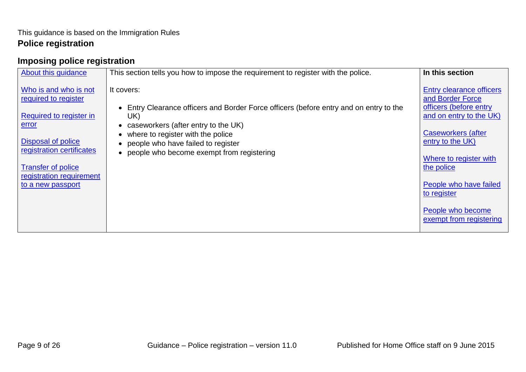# <span id="page-8-0"></span>**Imposing police registration**

| About this guidance                                                                                                                                                                                                       | This section tells you how to impose the requirement to register with the police.                                                                                                                                                                                          | In this section                                                                                                                                                                                                                                                                     |
|---------------------------------------------------------------------------------------------------------------------------------------------------------------------------------------------------------------------------|----------------------------------------------------------------------------------------------------------------------------------------------------------------------------------------------------------------------------------------------------------------------------|-------------------------------------------------------------------------------------------------------------------------------------------------------------------------------------------------------------------------------------------------------------------------------------|
| Who is and who is not<br>required to register<br>Required to register in<br><u>error</u><br>Disposal of police<br>registration certificates<br><b>Transfer of police</b><br>registration requirement<br>to a new passport | It covers:<br>Entry Clearance officers and Border Force officers (before entry and on entry to the<br>UK)<br>caseworkers (after entry to the UK)<br>where to register with the police<br>people who have failed to register<br>• people who become exempt from registering | Entry clearance officers<br>and Border Force<br>officers (before entry<br>and on entry to the UK)<br><b>Caseworkers (after</b><br>entry to the UK)<br>Where to register with<br>the police<br>People who have failed<br>to register<br>People who become<br>exempt from registering |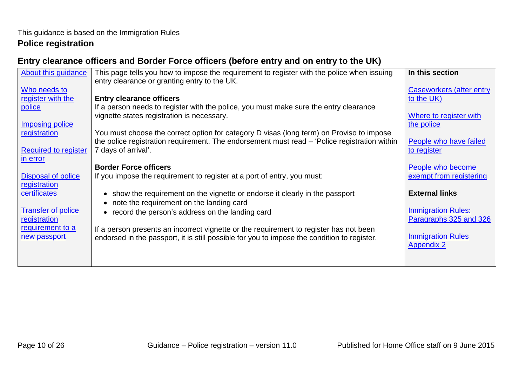### <span id="page-9-0"></span>**Entry clearance officers and Border Force officers (before entry and on entry to the UK)**

| About this guidance         | This page tells you how to impose the requirement to register with the police when issuing   | In this section                                     |
|-----------------------------|----------------------------------------------------------------------------------------------|-----------------------------------------------------|
|                             | entry clearance or granting entry to the UK.                                                 |                                                     |
| Who needs to                |                                                                                              | <b>Caseworkers (after entry</b>                     |
| register with the           | <b>Entry clearance officers</b>                                                              | to the UK)                                          |
| police                      | If a person needs to register with the police, you must make sure the entry clearance        |                                                     |
|                             | vignette states registration is necessary.                                                   | Where to register with                              |
| <b>Imposing police</b>      |                                                                                              | the police                                          |
| registration                | You must choose the correct option for category D visas (long term) on Proviso to impose     |                                                     |
|                             | the police registration requirement. The endorsement must read – 'Police registration within | People who have failed                              |
| <b>Required to register</b> | 7 days of arrival'.                                                                          | to register                                         |
| in error                    |                                                                                              |                                                     |
|                             | <b>Border Force officers</b>                                                                 | People who become                                   |
| Disposal of police          | If you impose the requirement to register at a port of entry, you must:                      | exempt from registering                             |
| registration                |                                                                                              |                                                     |
| certificates                | show the requirement on the vignette or endorse it clearly in the passport<br>$\bullet$      | <b>External links</b>                               |
|                             | note the requirement on the landing card                                                     |                                                     |
| <b>Transfer of police</b>   | record the person's address on the landing card<br>$\bullet$                                 | <b>Immigration Rules:</b><br>Paragraphs 325 and 326 |
| registration                |                                                                                              |                                                     |
| requirement to a            | If a person presents an incorrect vignette or the requirement to register has not been       | <b>Immigration Rules</b>                            |
| new passport                | endorsed in the passport, it is still possible for you to impose the condition to register.  | <b>Appendix 2</b>                                   |
|                             |                                                                                              |                                                     |
|                             |                                                                                              |                                                     |
|                             |                                                                                              |                                                     |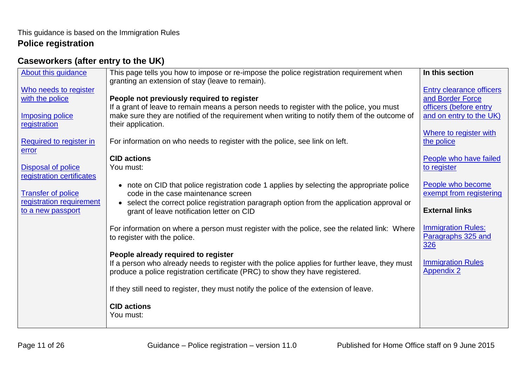# <span id="page-10-0"></span>**Caseworkers (after entry to the UK)**

| About this guidance                                                                | This page tells you how to impose or re-impose the police registration requirement when<br>granting an extension of stay (leave to remain).                                                                                                                                            | In this section                                                                                   |
|------------------------------------------------------------------------------------|----------------------------------------------------------------------------------------------------------------------------------------------------------------------------------------------------------------------------------------------------------------------------------------|---------------------------------------------------------------------------------------------------|
| Who needs to register<br>with the police<br><b>Imposing police</b><br>registration | People not previously required to register<br>If a grant of leave to remain means a person needs to register with the police, you must<br>make sure they are notified of the requirement when writing to notify them of the outcome of<br>their application.                           | Entry clearance officers<br>and Border Force<br>officers (before entry<br>and on entry to the UK) |
| <b>Required to register in</b><br>error                                            | For information on who needs to register with the police, see link on left.<br><b>CID actions</b>                                                                                                                                                                                      | Where to register with<br>the police<br>People who have failed                                    |
| <b>Disposal of police</b><br>registration certificates                             | You must:                                                                                                                                                                                                                                                                              | to register                                                                                       |
| <b>Transfer of police</b><br>registration requirement<br>to a new passport         | • note on CID that police registration code 1 applies by selecting the appropriate police<br>code in the case maintenance screen<br>select the correct police registration paragraph option from the application approval or<br>$\bullet$<br>grant of leave notification letter on CID | People who become<br>exempt from registering<br><b>External links</b>                             |
|                                                                                    | For information on where a person must register with the police, see the related link: Where<br>to register with the police.                                                                                                                                                           | <b>Immigration Rules:</b><br>Paragraphs 325 and<br>326                                            |
|                                                                                    | People already required to register<br>If a person who already needs to register with the police applies for further leave, they must<br>produce a police registration certificate (PRC) to show they have registered.                                                                 | <b>Immigration Rules</b><br><b>Appendix 2</b>                                                     |
|                                                                                    | If they still need to register, they must notify the police of the extension of leave.                                                                                                                                                                                                 |                                                                                                   |
|                                                                                    | <b>CID actions</b><br>You must:                                                                                                                                                                                                                                                        |                                                                                                   |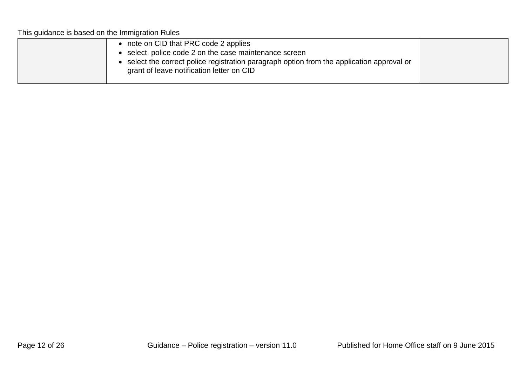This guidance is based on the Immigration Rules

| grant of leave notification letter on CID |
|-------------------------------------------|
|-------------------------------------------|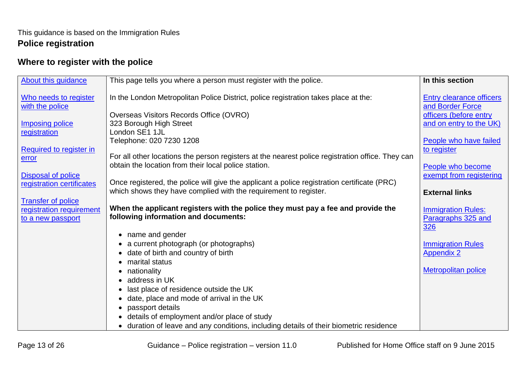# <span id="page-12-0"></span>**Where to register with the police**

| About this guidance                                           | This page tells you where a person must register with the police.                                                                                               | In this section                                                               |
|---------------------------------------------------------------|-----------------------------------------------------------------------------------------------------------------------------------------------------------------|-------------------------------------------------------------------------------|
| Who needs to register<br>with the police                      | In the London Metropolitan Police District, police registration takes place at the:<br>Overseas Visitors Records Office (OVRO)                                  | <b>Entry clearance officers</b><br>and Border Force<br>officers (before entry |
| <b>Imposing police</b><br>registration                        | 323 Borough High Street<br>London SE1 1JL<br>Telephone: 020 7230 1208                                                                                           | and on entry to the UK)<br>People who have failed                             |
| Required to register in<br>error<br><b>Disposal of police</b> | For all other locations the person registers at the nearest police registration office. They can<br>obtain the location from their local police station.        | to register<br>People who become<br>exempt from registering                   |
| registration certificates<br><b>Transfer of police</b>        | Once registered, the police will give the applicant a police registration certificate (PRC)<br>which shows they have complied with the requirement to register. | <b>External links</b>                                                         |
| registration requirement<br>to a new passport                 | When the applicant registers with the police they must pay a fee and provide the<br>following information and documents:                                        | <b>Immigration Rules:</b><br>Paragraphs 325 and<br>326                        |
|                                                               | name and gender<br>$\bullet$                                                                                                                                    |                                                                               |
|                                                               | a current photograph (or photographs)<br>date of birth and country of birth<br>$\bullet$<br>marital status                                                      | <b>Immigration Rules</b><br><b>Appendix 2</b>                                 |
|                                                               | nationality<br>address in UK                                                                                                                                    | <b>Metropolitan police</b>                                                    |
|                                                               | last place of residence outside the UK<br>date, place and mode of arrival in the UK                                                                             |                                                                               |
|                                                               | passport details                                                                                                                                                |                                                                               |
|                                                               | details of employment and/or place of study<br>$\bullet$<br>duration of leave and any conditions, including details of their biometric residence                |                                                                               |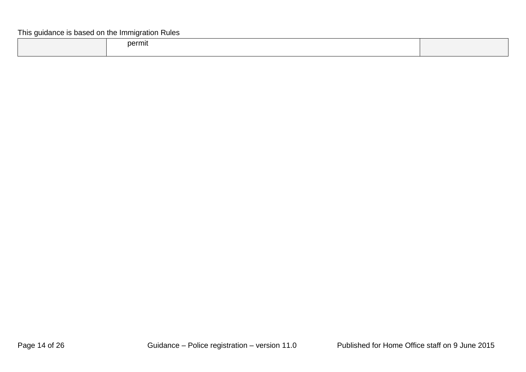#### This guidance is based on the Immigration Rules

| permit |  |
|--------|--|
|        |  |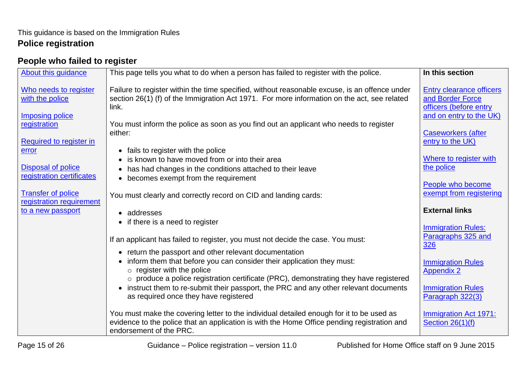# <span id="page-14-0"></span>**People who failed to register**

| About this guidance                                                        | This page tells you what to do when a person has failed to register with the police.                                                                                                                                                                                            | In this section                                                                                          |
|----------------------------------------------------------------------------|---------------------------------------------------------------------------------------------------------------------------------------------------------------------------------------------------------------------------------------------------------------------------------|----------------------------------------------------------------------------------------------------------|
| Who needs to register<br>with the police<br><b>Imposing police</b>         | Failure to register within the time specified, without reasonable excuse, is an offence under<br>section 26(1) (f) of the Immigration Act 1971. For more information on the act, see related<br>link.                                                                           | <b>Entry clearance officers</b><br>and Border Force<br>officers (before entry<br>and on entry to the UK) |
| registration<br>Required to register in<br>error                           | You must inform the police as soon as you find out an applicant who needs to register<br>either:<br>fails to register with the police<br>$\bullet$                                                                                                                              | <b>Caseworkers (after</b><br>entry to the UK)                                                            |
| <b>Disposal of police</b><br>registration certificates                     | is known to have moved from or into their area<br>$\bullet$<br>has had changes in the conditions attached to their leave<br>$\bullet$<br>• becomes exempt from the requirement                                                                                                  | Where to register with<br>the police<br>People who become                                                |
| <b>Transfer of police</b><br>registration requirement<br>to a new passport | You must clearly and correctly record on CID and landing cards:<br>• addresses                                                                                                                                                                                                  | exempt from registering<br><b>External links</b>                                                         |
|                                                                            | • if there is a need to register<br>If an applicant has failed to register, you must not decide the case. You must:                                                                                                                                                             | <b>Immigration Rules:</b><br>Paragraphs 325 and<br>326                                                   |
|                                                                            | • return the passport and other relevant documentation<br>inform them that before you can consider their application they must:<br>$\bullet$<br>$\circ$ register with the police<br>$\circ$ produce a police registration certificate (PRC), demonstrating they have registered | <b>Immigration Rules</b><br><b>Appendix 2</b>                                                            |
|                                                                            | instruct them to re-submit their passport, the PRC and any other relevant documents<br>$\bullet$<br>as required once they have registered                                                                                                                                       | <b>Immigration Rules</b><br>Paragraph 322(3)                                                             |
|                                                                            | You must make the covering letter to the individual detailed enough for it to be used as<br>evidence to the police that an application is with the Home Office pending registration and<br>endorsement of the PRC.                                                              | <b>Immigration Act 1971:</b><br><b>Section 26(1)(f)</b>                                                  |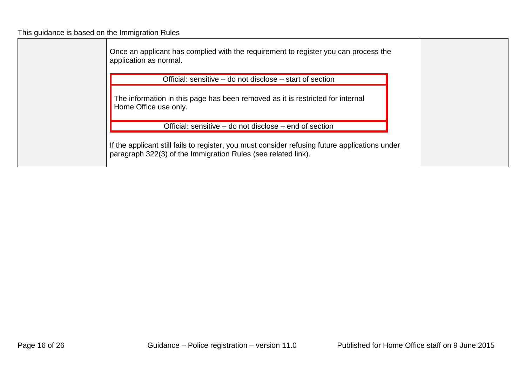This guidance is based on the Immigration Rules

Once an applicant has complied with the requirement to register you can process the application as normal. Official: sensitive – do not disclose – start of section The information in this page has been removed as it is restricted for internal Home Office use only. Official: sensitive – do not disclose – end of section If the applicant still fails to register, you must consider refusing future applications under paragraph 322(3) of the Immigration Rules (see related link).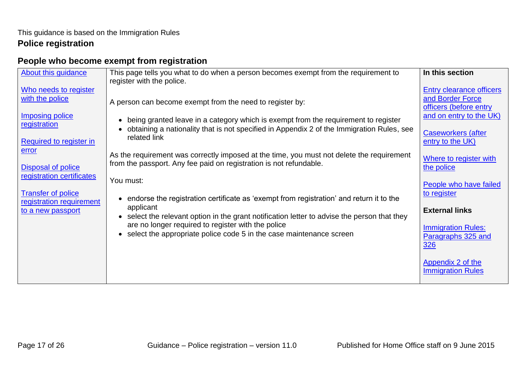# <span id="page-16-0"></span>**People who become exempt from registration**

| About this guidance                                                        | This page tells you what to do when a person becomes exempt from the requirement to                                                                                                                                                               | In this section                                                          |
|----------------------------------------------------------------------------|---------------------------------------------------------------------------------------------------------------------------------------------------------------------------------------------------------------------------------------------------|--------------------------------------------------------------------------|
| Who needs to register<br>with the police                                   | register with the police.<br>A person can become exempt from the need to register by:                                                                                                                                                             | Entry clearance officers<br>and Border Force<br>officers (before entry   |
| <b>Imposing police</b><br>registration<br>Required to register in          | being granted leave in a category which is exempt from the requirement to register<br>$\bullet$<br>obtaining a nationality that is not specified in Appendix 2 of the Immigration Rules, see<br>related link                                      | and on entry to the UK)<br><b>Caseworkers (after</b><br>entry to the UK) |
| error<br><b>Disposal of police</b><br>registration certificates            | As the requirement was correctly imposed at the time, you must not delete the requirement<br>from the passport. Any fee paid on registration is not refundable.                                                                                   | Where to register with<br>the police                                     |
| <b>Transfer of police</b><br>registration requirement<br>to a new passport | You must:<br>endorse the registration certificate as 'exempt from registration' and return it to the<br>applicant                                                                                                                                 | People who have failed<br>to register<br><b>External links</b>           |
|                                                                            | select the relevant option in the grant notification letter to advise the person that they<br>$\bullet$<br>are no longer required to register with the police<br>select the appropriate police code 5 in the case maintenance screen<br>$\bullet$ | <b>Immigration Rules:</b><br>Paragraphs 325 and<br>326                   |
|                                                                            |                                                                                                                                                                                                                                                   | Appendix 2 of the<br><b>Immigration Rules</b>                            |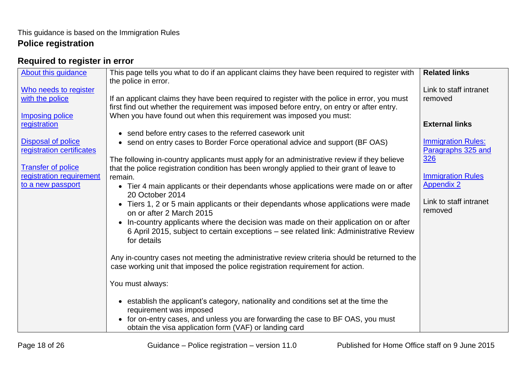# <span id="page-17-0"></span>**Required to register in error**

| <b>About this guidance</b>                             | This page tells you what to do if an applicant claims they have been required to register with<br>the police in error.                                                                       | <b>Related links</b>                            |
|--------------------------------------------------------|----------------------------------------------------------------------------------------------------------------------------------------------------------------------------------------------|-------------------------------------------------|
| Who needs to register                                  |                                                                                                                                                                                              | Link to staff intranet                          |
| with the police                                        | If an applicant claims they have been required to register with the police in error, you must<br>first find out whether the requirement was imposed before entry, on entry or after entry.   | removed                                         |
| <b>Imposing police</b>                                 | When you have found out when this requirement was imposed you must:                                                                                                                          |                                                 |
| registration                                           |                                                                                                                                                                                              | <b>External links</b>                           |
|                                                        | • send before entry cases to the referred casework unit                                                                                                                                      |                                                 |
| <b>Disposal of police</b><br>registration certificates | • send on entry cases to Border Force operational advice and support (BF OAS)                                                                                                                | <b>Immigration Rules:</b><br>Paragraphs 325 and |
|                                                        | The following in-country applicants must apply for an administrative review if they believe                                                                                                  | <u>326</u>                                      |
| <b>Transfer of police</b>                              | that the police registration condition has been wrongly applied to their grant of leave to                                                                                                   |                                                 |
| registration requirement                               | remain.                                                                                                                                                                                      | <b>Immigration Rules</b>                        |
| to a new passport                                      | • Tier 4 main applicants or their dependants whose applications were made on or after<br>20 October 2014                                                                                     | <b>Appendix 2</b>                               |
|                                                        | Tiers 1, 2 or 5 main applicants or their dependants whose applications were made<br>$\bullet$<br>on or after 2 March 2015                                                                    | Link to staff intranet<br>removed               |
|                                                        | • In-country applicants where the decision was made on their application on or after<br>6 April 2015, subject to certain exceptions – see related link: Administrative Review<br>for details |                                                 |
|                                                        | Any in-country cases not meeting the administrative review criteria should be returned to the<br>case working unit that imposed the police registration requirement for action.              |                                                 |
|                                                        | You must always:                                                                                                                                                                             |                                                 |
|                                                        | • establish the applicant's category, nationality and conditions set at the time the<br>requirement was imposed                                                                              |                                                 |
|                                                        | for on-entry cases, and unless you are forwarding the case to BF OAS, you must<br>obtain the visa application form (VAF) or landing card                                                     |                                                 |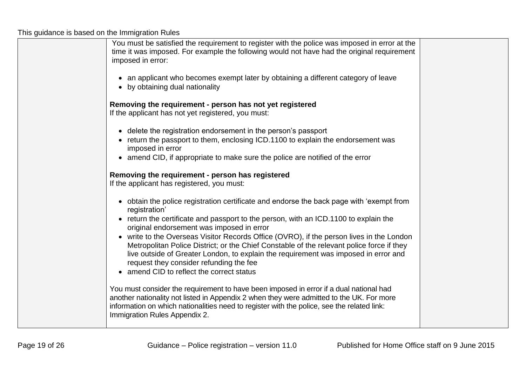This guidance is based on the Immigration Rules

| You must be satisfied the requirement to register with the police was imposed in error at the<br>time it was imposed. For example the following would not have had the original requirement<br>imposed in error:                                                                                                  |  |
|-------------------------------------------------------------------------------------------------------------------------------------------------------------------------------------------------------------------------------------------------------------------------------------------------------------------|--|
| • an applicant who becomes exempt later by obtaining a different category of leave<br>• by obtaining dual nationality                                                                                                                                                                                             |  |
| Removing the requirement - person has not yet registered<br>If the applicant has not yet registered, you must:                                                                                                                                                                                                    |  |
| • delete the registration endorsement in the person's passport<br>• return the passport to them, enclosing ICD.1100 to explain the endorsement was<br>imposed in error                                                                                                                                            |  |
| • amend CID, if appropriate to make sure the police are notified of the error<br>Removing the requirement - person has registered                                                                                                                                                                                 |  |
| If the applicant has registered, you must:                                                                                                                                                                                                                                                                        |  |
| • obtain the police registration certificate and endorse the back page with 'exempt from<br>registration'                                                                                                                                                                                                         |  |
| • return the certificate and passport to the person, with an ICD.1100 to explain the<br>original endorsement was imposed in error<br>• write to the Overseas Visitor Records Office (OVRO), if the person lives in the London                                                                                     |  |
| Metropolitan Police District; or the Chief Constable of the relevant police force if they<br>live outside of Greater London, to explain the requirement was imposed in error and<br>request they consider refunding the fee<br>• amend CID to reflect the correct status                                          |  |
| You must consider the requirement to have been imposed in error if a dual national had<br>another nationality not listed in Appendix 2 when they were admitted to the UK. For more<br>information on which nationalities need to register with the police, see the related link:<br>Immigration Rules Appendix 2. |  |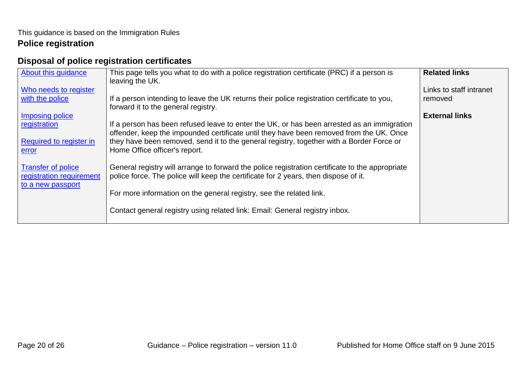# <span id="page-19-0"></span>**Disposal of police registration certificates**

| About this guidance                                                        | This page tells you what to do with a police registration certificate (PRC) if a person is<br>leaving the UK.                                                                                                                                                                                                                                | <b>Related links</b>               |
|----------------------------------------------------------------------------|----------------------------------------------------------------------------------------------------------------------------------------------------------------------------------------------------------------------------------------------------------------------------------------------------------------------------------------------|------------------------------------|
| Who needs to register<br>with the police                                   | If a person intending to leave the UK returns their police registration certificate to you,<br>forward it to the general registry.                                                                                                                                                                                                           | Links to staff intranet<br>removed |
| Imposing police<br>registration<br>Required to register in<br><u>error</u> | If a person has been refused leave to enter the UK, or has been arrested as an immigration<br>offender, keep the impounded certificate until they have been removed from the UK. Once<br>they have been removed, send it to the general registry, together with a Border Force or<br>Home Office officer's report.                           | <b>External links</b>              |
| <b>Transfer of police</b><br>registration requirement<br>to a new passport | General registry will arrange to forward the police registration certificate to the appropriate<br>police force. The police will keep the certificate for 2 years, then dispose of it.<br>For more information on the general registry, see the related link.<br>Contact general registry using related link: Email: General registry inbox. |                                    |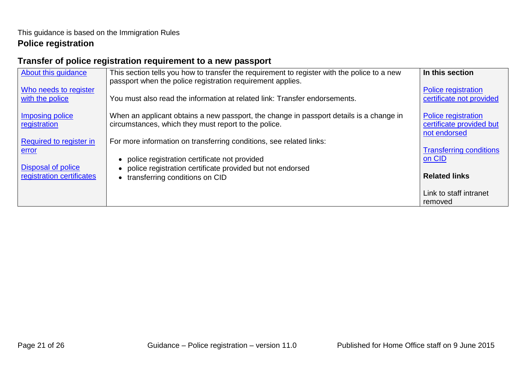# <span id="page-20-0"></span>**Transfer of police registration requirement to a new passport**

| About this guidance                                             | This section tells you how to transfer the requirement to register with the police to a new<br>passport when the police registration requirement applies.             | In this section                                                        |
|-----------------------------------------------------------------|-----------------------------------------------------------------------------------------------------------------------------------------------------------------------|------------------------------------------------------------------------|
| Who needs to register<br>with the police                        | You must also read the information at related link: Transfer endorsements.                                                                                            | <b>Police registration</b><br>certificate not provided                 |
| Imposing police<br>registration                                 | When an applicant obtains a new passport, the change in passport details is a change in<br>circumstances, which they must report to the police.                       | <b>Police registration</b><br>certificate provided but<br>not endorsed |
| Required to register in                                         | For more information on transferring conditions, see related links:                                                                                                   |                                                                        |
| error<br><b>Disposal of police</b><br>registration certificates | police registration certificate not provided<br>police registration certificate provided but not endorsed<br>$\bullet$<br>transferring conditions on CID<br>$\bullet$ | <b>Transferring conditions</b><br>on CID<br><b>Related links</b>       |
|                                                                 |                                                                                                                                                                       | Link to staff intranet<br>removed                                      |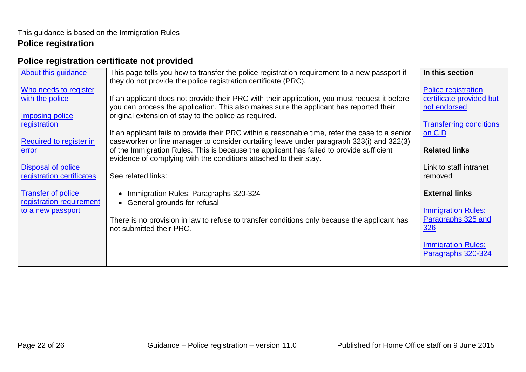# <span id="page-21-0"></span>**Police registration certificate not provided**

| About this guidance                                    | This page tells you how to transfer the police registration requirement to a new passport if                                                                                            | In this section                   |
|--------------------------------------------------------|-----------------------------------------------------------------------------------------------------------------------------------------------------------------------------------------|-----------------------------------|
|                                                        | they do not provide the police registration certificate (PRC).                                                                                                                          |                                   |
| Who needs to register                                  |                                                                                                                                                                                         | Police registration               |
| with the police                                        | If an applicant does not provide their PRC with their application, you must request it before<br>you can process the application. This also makes sure the applicant has reported their | certificate provided but          |
| Imposing police                                        | original extension of stay to the police as required.                                                                                                                                   | not endorsed                      |
| registration                                           |                                                                                                                                                                                         | <b>Transferring conditions</b>    |
|                                                        | If an applicant fails to provide their PRC within a reasonable time, refer the case to a senior                                                                                         | on CID                            |
| Required to register in                                | caseworker or line manager to consider curtailing leave under paragraph 323(i) and 322(3)                                                                                               |                                   |
| error                                                  | of the Immigration Rules. This is because the applicant has failed to provide sufficient                                                                                                | <b>Related links</b>              |
|                                                        | evidence of complying with the conditions attached to their stay.                                                                                                                       |                                   |
| <b>Disposal of police</b><br>registration certificates | See related links:                                                                                                                                                                      | Link to staff intranet<br>removed |
|                                                        |                                                                                                                                                                                         |                                   |
| <b>Transfer of police</b>                              | Immigration Rules: Paragraphs 320-324<br>$\bullet$                                                                                                                                      | <b>External links</b>             |
| registration requirement                               | General grounds for refusal<br>$\bullet$                                                                                                                                                |                                   |
| to a new passport                                      |                                                                                                                                                                                         | <b>Immigration Rules:</b>         |
|                                                        | There is no provision in law to refuse to transfer conditions only because the applicant has                                                                                            | Paragraphs 325 and                |
|                                                        | not submitted their PRC.                                                                                                                                                                | <b>326</b>                        |
|                                                        |                                                                                                                                                                                         | <b>Immigration Rules:</b>         |
|                                                        |                                                                                                                                                                                         | Paragraphs 320-324                |
|                                                        |                                                                                                                                                                                         |                                   |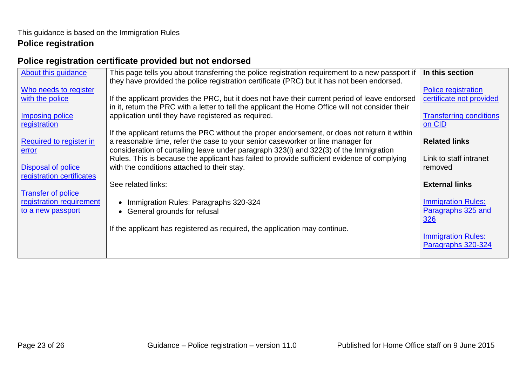# <span id="page-22-0"></span>**Police registration certificate provided but not endorsed**

| About this guidance                                   | This page tells you about transferring the police registration requirement to a new passport if   | In this section                |
|-------------------------------------------------------|---------------------------------------------------------------------------------------------------|--------------------------------|
|                                                       | they have provided the police registration certificate (PRC) but it has not been endorsed.        |                                |
| Who needs to register                                 |                                                                                                   | Police registration            |
| with the police                                       | If the applicant provides the PRC, but it does not have their current period of leave endorsed    | certificate not provided       |
|                                                       | in it, return the PRC with a letter to tell the applicant the Home Office will not consider their |                                |
| <b>Imposing police</b>                                | application until they have registered as required.                                               | <b>Transferring conditions</b> |
| registration                                          |                                                                                                   | on CID                         |
|                                                       | If the applicant returns the PRC without the proper endorsement, or does not return it within     |                                |
| Required to register in                               | a reasonable time, refer the case to your senior caseworker or line manager for                   | <b>Related links</b>           |
| error                                                 | consideration of curtailing leave under paragraph 323(i) and 322(3) of the Immigration            |                                |
|                                                       | Rules. This is because the applicant has failed to provide sufficient evidence of complying       | Link to staff intranet         |
| <b>Disposal of police</b>                             | with the conditions attached to their stay.                                                       | removed                        |
| registration certificates                             |                                                                                                   | <b>External links</b>          |
|                                                       | See related links:                                                                                |                                |
| <b>Transfer of police</b><br>registration requirement |                                                                                                   | <b>Immigration Rules:</b>      |
| to a new passport                                     | Immigration Rules: Paragraphs 320-324                                                             | Paragraphs 325 and             |
|                                                       | General grounds for refusal                                                                       | 326                            |
|                                                       | If the applicant has registered as required, the application may continue.                        |                                |
|                                                       |                                                                                                   | <b>Immigration Rules:</b>      |
|                                                       |                                                                                                   | Paragraphs 320-324             |
|                                                       |                                                                                                   |                                |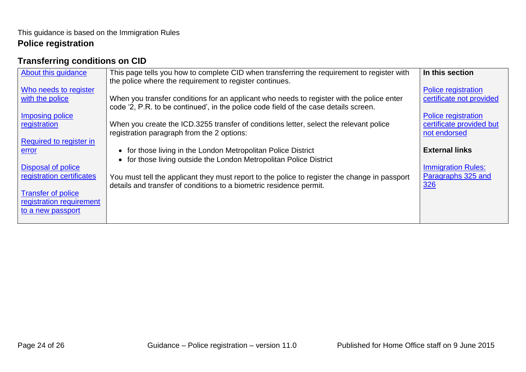# <span id="page-23-0"></span>**Transferring conditions on CID**

| About this guidance                                                                                     | This page tells you how to complete CID when transferring the requirement to register with<br>the police where the requirement to register continues.                             | In this section                                                        |
|---------------------------------------------------------------------------------------------------------|-----------------------------------------------------------------------------------------------------------------------------------------------------------------------------------|------------------------------------------------------------------------|
| Who needs to register<br>with the police                                                                | When you transfer conditions for an applicant who needs to register with the police enter<br>code '2, P.R. to be continued', in the police code field of the case details screen. | Police registration<br>certificate not provided                        |
| Imposing police<br>registration                                                                         | When you create the ICD.3255 transfer of conditions letter, select the relevant police<br>registration paragraph from the 2 options:                                              | <b>Police registration</b><br>certificate provided but<br>not endorsed |
| Required to register in<br>error<br><b>Disposal of police</b>                                           | for those living in the London Metropolitan Police District<br>$\bullet$<br>for those living outside the London Metropolitan Police District<br>$\bullet$                         | <b>External links</b><br><b>Immigration Rules:</b>                     |
| registration certificates<br><b>Transfer of police</b><br>registration requirement<br>to a new passport | You must tell the applicant they must report to the police to register the change in passport<br>details and transfer of conditions to a biometric residence permit.              | Paragraphs 325 and<br>326                                              |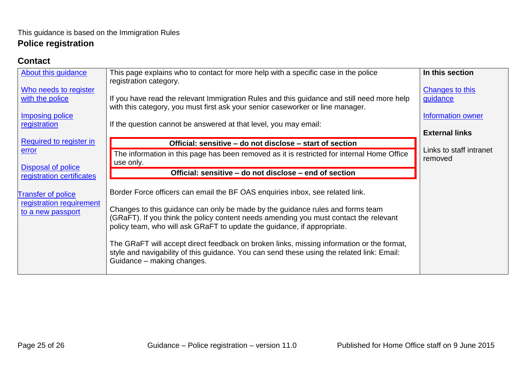#### <span id="page-24-0"></span>**Contact**

| <b>About this guidance</b> | This page explains who to contact for more help with a specific case in the police<br>registration category.                                                                 | In this section                    |
|----------------------------|------------------------------------------------------------------------------------------------------------------------------------------------------------------------------|------------------------------------|
| Who needs to register      |                                                                                                                                                                              | Changes to this                    |
| with the police            | If you have read the relevant Immigration Rules and this guidance and still need more help<br>with this category, you must first ask your senior caseworker or line manager. | guidance                           |
| <b>Imposing police</b>     |                                                                                                                                                                              | Information owner                  |
| registration               | If the question cannot be answered at that level, you may email:                                                                                                             |                                    |
|                            |                                                                                                                                                                              | <b>External links</b>              |
| Required to register in    | Official: sensitive – do not disclose – start of section                                                                                                                     |                                    |
| error                      | The information in this page has been removed as it is restricted for internal Home Office                                                                                   | Links to staff intranet<br>removed |
| <b>Disposal of police</b>  | use only.                                                                                                                                                                    |                                    |
| registration certificates  | Official: sensitive – do not disclose – end of section                                                                                                                       |                                    |
|                            |                                                                                                                                                                              |                                    |
| <b>Transfer of police</b>  | Border Force officers can email the BF OAS enquiries inbox, see related link.                                                                                                |                                    |
| registration requirement   |                                                                                                                                                                              |                                    |
| to a new passport          | Changes to this guidance can only be made by the guidance rules and forms team                                                                                               |                                    |
|                            | (GRaFT). If you think the policy content needs amending you must contact the relevant<br>policy team, who will ask GRaFT to update the guidance, if appropriate.             |                                    |
|                            |                                                                                                                                                                              |                                    |
|                            | The GRaFT will accept direct feedback on broken links, missing information or the format,                                                                                    |                                    |
|                            | style and navigability of this guidance. You can send these using the related link: Email:                                                                                   |                                    |
|                            | Guidance - making changes.                                                                                                                                                   |                                    |
|                            |                                                                                                                                                                              |                                    |